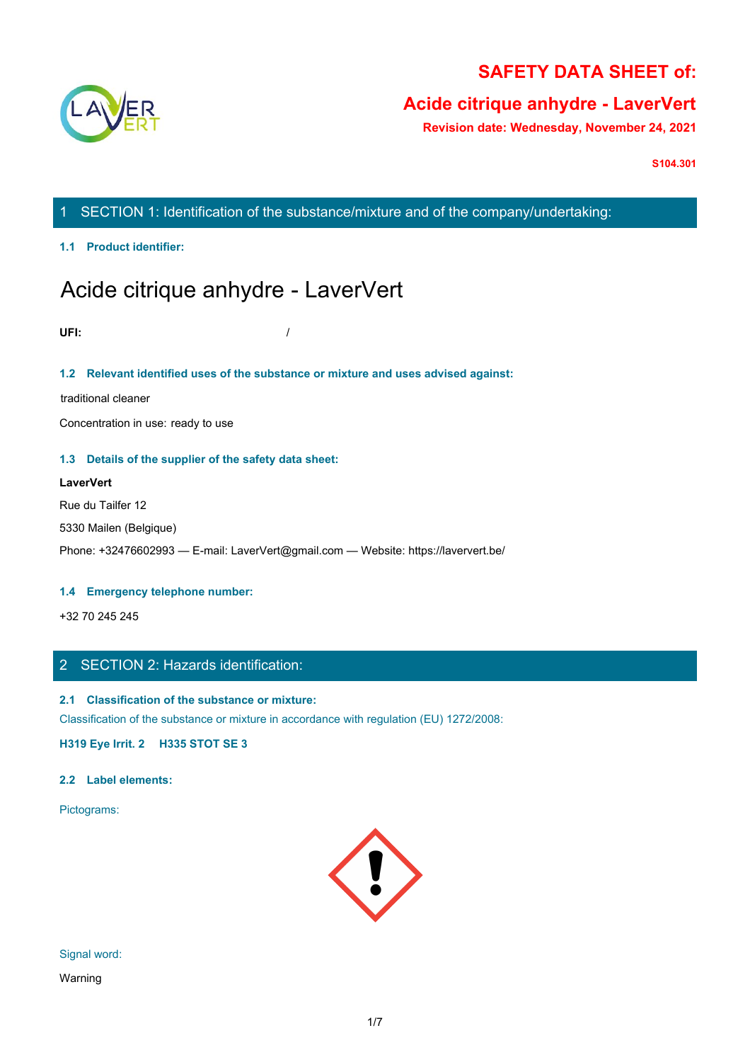

# **SAFETY DATA SHEET of:**

# **Acide citrique anhydre - LaverVert**

**Revision date: Wednesday, November 24, 2021**

**S104.301**

# 1 SECTION 1: Identification of the substance/mixture and of the company/undertaking:

**1.1 Product identifier:**

# Acide citrique anhydre - LaverVert

**UFI:** /

### **1.2 Relevant identified uses of the substance or mixture and uses advised against:**

traditional cleaner

Concentration in use: ready to use

### **1.3 Details of the supplier of the safety data sheet:**

# **LaverVert** Rue du Tailfer 12 5330 Mailen (Belgique) Phone: +32476602993 — E-mail: LaverVert@gmail.com — Website: https://laververt.be/

### **1.4 Emergency telephone number:**

+32 70 245 245

# 2 SECTION 2: Hazards identification:

# **2.1 Classification of the substance or mixture:**

Classification of the substance or mixture in accordance with regulation (EU) 1272/2008:

**H319 Eye Irrit. 2 H335 STOT SE 3**

### **2.2 Label elements:**

Pictograms:



Signal word:

Warning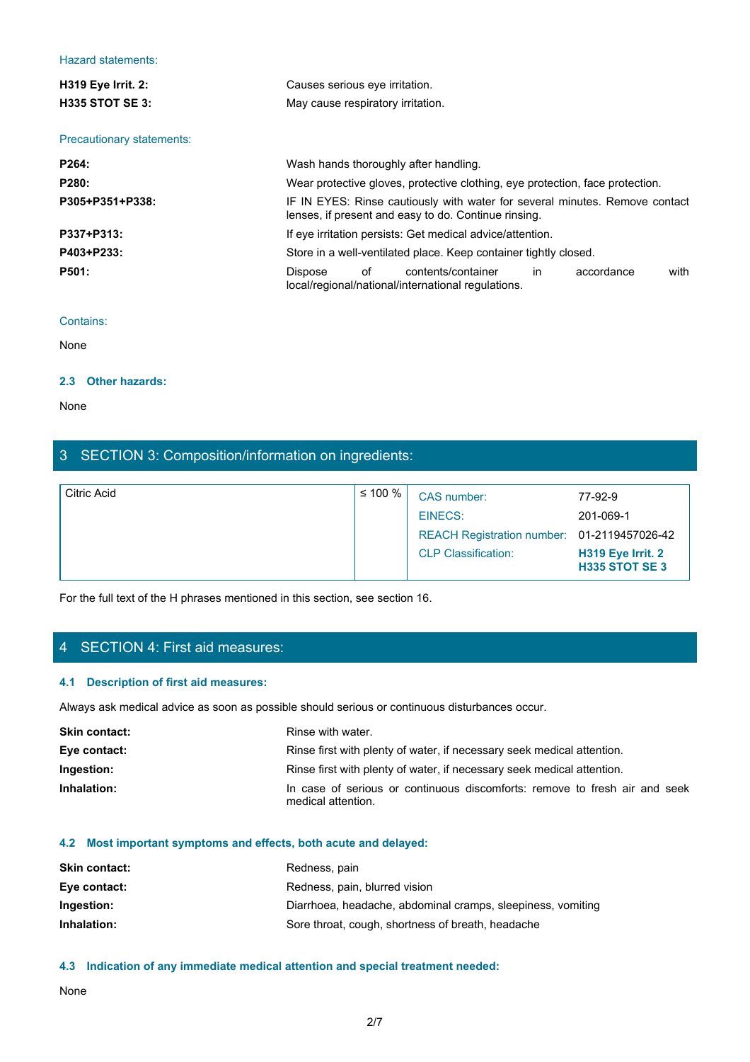### Hazard statements:

| <b>Hazard statements:</b>        |                                                                                                                                     |
|----------------------------------|-------------------------------------------------------------------------------------------------------------------------------------|
| H319 Eye Irrit. 2:               | Causes serious eye irritation.                                                                                                      |
| H335 STOT SE 3:                  | May cause respiratory irritation.                                                                                                   |
| <b>Precautionary statements:</b> |                                                                                                                                     |
|                                  |                                                                                                                                     |
| P264:                            | Wash hands thoroughly after handling.                                                                                               |
| P280:                            | Wear protective gloves, protective clothing, eye protection, face protection.                                                       |
| P305+P351+P338:                  | IF IN EYES: Rinse cautiously with water for several minutes. Remove contact<br>lenses, if present and easy to do. Continue rinsing. |
| P337+P313:                       | If eye irritation persists: Get medical advice/attention.                                                                           |
| P403+P233:                       | Store in a well-ventilated place. Keep container tightly closed.                                                                    |
| P501:                            | Dispose<br>of<br>contents/container<br>in<br>with<br>accordance<br>local/regional/national/international regulations.               |
| Contains:                        |                                                                                                                                     |
| None                             |                                                                                                                                     |
|                                  |                                                                                                                                     |

#### Contains:

### **2.3 Other hazards:**

# 3 SECTION 3: Composition/information on ingredients:

| None                                                                                                              |                   |                                                                                                  |                                                                                        |  |  |
|-------------------------------------------------------------------------------------------------------------------|-------------------|--------------------------------------------------------------------------------------------------|----------------------------------------------------------------------------------------|--|--|
| 3 SECTION 3: Composition/information on ingredients:                                                              |                   |                                                                                                  |                                                                                        |  |  |
| <b>Citric Acid</b>                                                                                                | $\leq 100 \%$     | CAS number:<br><b>EINECS:</b><br><b>REACH Registration number:</b><br><b>CLP Classification:</b> | 77-92-9<br>201-069-1<br>01-2119457026-42<br>H319 Eye Irrit. 2<br><b>H335 STOT SE 3</b> |  |  |
| For the full text of the H phrases mentioned in this section, see section 16.<br>4 SECTION 4: First aid measures: |                   |                                                                                                  |                                                                                        |  |  |
| 4.1 Description of first aid measures:                                                                            |                   |                                                                                                  |                                                                                        |  |  |
| Always ask medical advice as soon as possible should serious or continuous disturbances occur.                    |                   |                                                                                                  |                                                                                        |  |  |
| <b>Skin contact:</b>                                                                                              | Rinse with water. |                                                                                                  |                                                                                        |  |  |
| Eye contact:                                                                                                      |                   | Rinse first with plenty of water, if necessary seek medical attention.                           |                                                                                        |  |  |
| Ingestion:                                                                                                        |                   | Rinse first with plenty of water, if necessary seek medical attention.                           |                                                                                        |  |  |
| Inhalation:<br>In case of serious or continuous discomforts: remove to fresh air and seek<br>medical attention.   |                   |                                                                                                  |                                                                                        |  |  |
| 4.2 Most important symptoms and effects, both acute and delayed:                                                  |                   |                                                                                                  |                                                                                        |  |  |
| Skin contact:                                                                                                     | Redness, pain     |                                                                                                  |                                                                                        |  |  |
|                                                                                                                   |                   |                                                                                                  |                                                                                        |  |  |

# 4 SECTION 4: First aid measures:

### **4.1 Description of first aid measures:**

| <b>Skin contact:</b> | Rinse with water.                                                                                |
|----------------------|--------------------------------------------------------------------------------------------------|
| Eye contact:         | Rinse first with plenty of water, if necessary seek medical attention.                           |
| Ingestion:           | Rinse first with plenty of water, if necessary seek medical attention.                           |
| Inhalation:          | In case of serious or continuous discomforts: remove to fresh air and seek<br>medical attention. |

### **4.2 Most important symptoms and effects, both acute and delayed:**

| <b>Skin contact:</b> | Redness, pain                                               |
|----------------------|-------------------------------------------------------------|
| Eye contact:         | Redness, pain, blurred vision                               |
| Ingestion:           | Diarrhoea, headache, abdominal cramps, sleepiness, vomiting |
| Inhalation:          | Sore throat, cough, shortness of breath, headache           |

### **4.3 Indication of any immediate medical attention and special treatment needed:**

None with the contract of the contract of the contract of the contract of the contract of the contract of the contract of the contract of the contract of the contract of the contract of the contract of the contract of the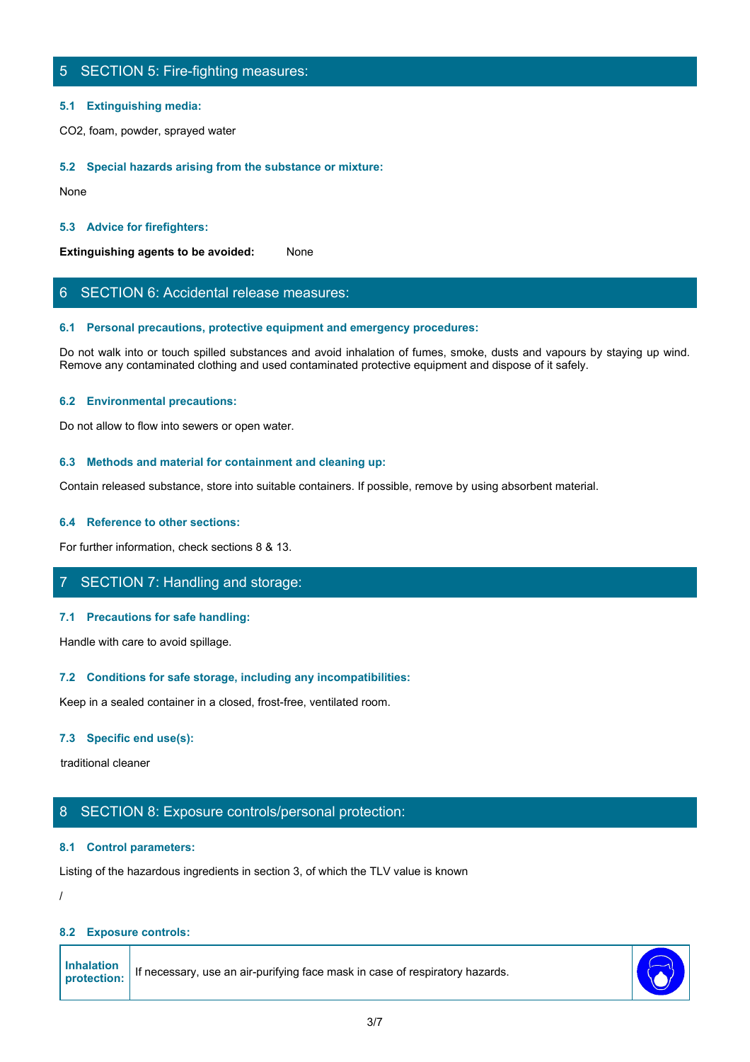# 5 SECTION 5: Fire-fighting measures:

### **5.1 Extinguishing media:**

CO2, foam, powder, sprayed water

### **5.2 Special hazards arising from the substance or mixture:**

None with the contract of the contract of the contract of the contract of the contract of the contract of the contract of the contract of the contract of the contract of the contract of the contract of the contract of the

### **5.3 Advice for firefighters:**

**Extinguishing agents to be avoided:** None

## 6 SECTION 6: Accidental release measures:

### **6.1 Personal precautions, protective equipment and emergency procedures:**

Do not walk into or touch spilled substances and avoid inhalation of fumes, smoke, dusts and vapours by staying up wind. Remove any contaminated clothing and used contaminated protective equipment and dispose of it safely.

### **6.2 Environmental precautions:**

Do not allow to flow into sewers or open water.

### **6.3 Methods and material for containment and cleaning up:**

Contain released substance, store into suitable containers. If possible, remove by using absorbent material.

### **6.4 Reference to other sections:**

For further information, check sections 8 & 13.

### 7 SECTION 7: Handling and storage:

### **7.1 Precautions for safe handling:**

Handle with care to avoid spillage.

### **7.2 Conditions for safe storage, including any incompatibilities:**

Keep in a sealed container in a closed, frost-free, ventilated room.

### **7.3 Specific end use(s):**

traditional cleaner

### 8 SECTION 8: Exposure controls/personal protection:

### **8.1 Control parameters:**

Listing of the hazardous ingredients in section 3, of which the TLV value is known

/

### **8.2 Exposure controls:**

| <b>Inhalation</b> |                                                                              |  |  |  |
|-------------------|------------------------------------------------------------------------------|--|--|--|
| protection:       | If necessary, use an air-purifying face mask in case of respiratory hazards. |  |  |  |
|                   |                                                                              |  |  |  |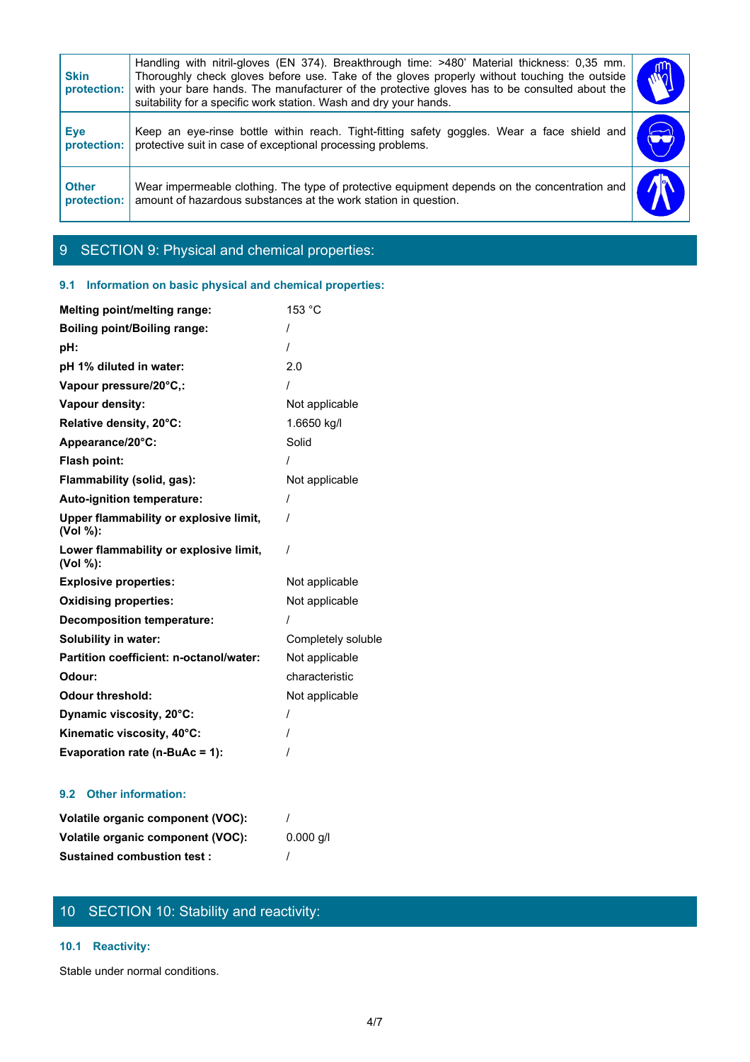| Handling with nitril-gloves (EN 374). Breakthrough time: >480' Material thickness: 0,35 mm.<br><b>Skin</b><br>Thoroughly check gloves before use. Take of the gloves properly without touching the outside<br>with your bare hands. The manufacturer of the protective gloves has to be consulted about the<br>protection:<br>suitability for a specific work station. Wash and dry your hands. |
|-------------------------------------------------------------------------------------------------------------------------------------------------------------------------------------------------------------------------------------------------------------------------------------------------------------------------------------------------------------------------------------------------|
| Keep an eye-rinse bottle within reach. Tight-fitting safety goggles. Wear a face shield and<br><b>Eye</b><br>protective suit in case of exceptional processing problems.<br>protection:                                                                                                                                                                                                         |
| Wear impermeable clothing. The type of protective equipment depends on the concentration and<br><b>Other</b><br>amount of hazardous substances at the work station in question.<br>protection:                                                                                                                                                                                                  |

# 9 SECTION 9: Physical and chemical properties:

## **9.1 Information on basic physical and chemical properties:**

| Melting point/melting range:                       | 153 °C             |
|----------------------------------------------------|--------------------|
| <b>Boiling point/Boiling range:</b>                | $\prime$           |
| pH:                                                |                    |
| pH 1% diluted in water:                            | 2.0                |
| Vapour pressure/20°C,:                             |                    |
| Vapour density:                                    | Not applicable     |
| Relative density, 20°C:                            | 1.6650 kg/l        |
| Appearance/20°C:                                   | Solid              |
| Flash point:                                       |                    |
| Flammability (solid, gas):                         | Not applicable     |
| Auto-ignition temperature:                         | $\prime$           |
| Upper flammability or explosive limit,<br>(Vol %): |                    |
| Lower flammability or explosive limit,<br>(Vol %): |                    |
| <b>Explosive properties:</b>                       | Not applicable     |
| <b>Oxidising properties:</b>                       | Not applicable     |
| <b>Decomposition temperature:</b>                  |                    |
| Solubility in water:                               | Completely soluble |
| Partition coefficient: n-octanol/water:            | Not applicable     |
| Odour:                                             | characteristic     |
| <b>Odour threshold:</b>                            | Not applicable     |
| Dynamic viscosity, 20°C:                           |                    |
| Kinematic viscosity, 40°C:                         |                    |
| Evaporation rate (n-BuAc = 1):                     |                    |

## **9.2 Other information:**

| Volatile organic component (VOC): |             |
|-----------------------------------|-------------|
| Volatile organic component (VOC): | $0.000$ g/l |
| <b>Sustained combustion test:</b> |             |

# 10 SECTION 10: Stability and reactivity:

### **10.1 Reactivity:**

Stable under normal conditions.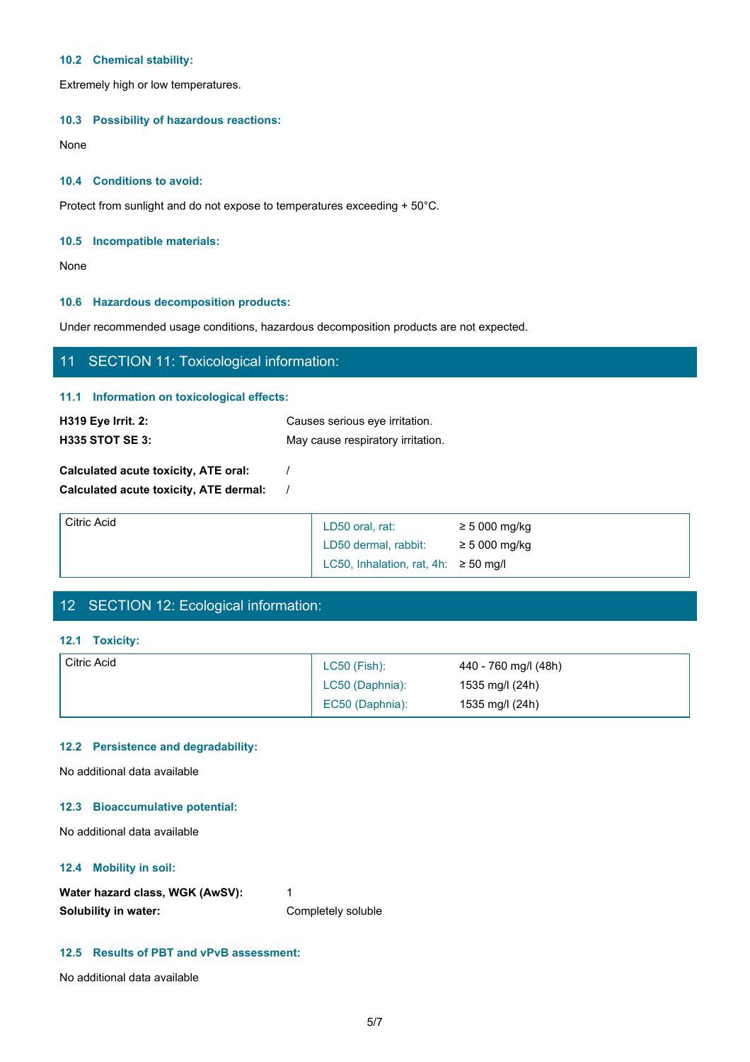### **10.2 Chemical stability:**

Extremely high or low temperatures.

### **10.3 Possibility of hazardous reactions:**

None with the contract of the contract of the contract of the contract of the contract of the contract of the contract of the contract of the contract of the contract of the contract of the contract of the contract of the

### **10.4 Conditions to avoid:**

Protect from sunlight and do not expose to temperatures exceeding + 50°C.

### **10.5 Incompatible materials:**

None with the contract of the contract of the contract of the contract of the contract of the contract of the contract of the contract of the contract of the contract of the contract of the contract of the contract of the

### **10.6 Hazardous decomposition products:**

Under recommended usage conditions, hazardous decomposition products are not expected.

# 11 SECTION 11: Toxicological information: **11.1 Information on toxicological effects: H319 Eye Irrit. 2:** Causes serious eye irritation.

| <b>H335 STOT SE 3:</b>                 | .<br>May cause respiratory irritation. |                                                   |  |
|----------------------------------------|----------------------------------------|---------------------------------------------------|--|
| Calculated acute toxicity, ATE oral:   |                                        |                                                   |  |
| Calculated acute toxicity, ATE dermal: |                                        |                                                   |  |
| <b>Citric Acid</b>                     | $DFA = 1$                              | $\sim$ $\sim$ 000 $\sim$ $\sim$ $\sim$ 0.4 $\sim$ |  |

| Citric Acid | LD50 oral, rat:                           | $\geq$ 5 000 mg/kg |
|-------------|-------------------------------------------|--------------------|
|             | LD50 dermal, rabbit:                      | $\geq$ 5 000 mg/kg |
|             | LC50, Inhalation, rat, 4h: $\geq$ 50 mg/l |                    |

# 12 SECTION 12: Ecological information:

### **12.1 Toxicity:**

| Citric Acid | $LC50$ (Fish):  | 440 - 760 mg/l (48h) |
|-------------|-----------------|----------------------|
|             | LC50 (Daphnia): | 1535 mg/l (24h)      |
|             | EC50 (Daphnia): | 1535 mg/l (24h)      |

### **12.2 Persistence and degradability:**

No additional data available

### **12.3 Bioaccumulative potential:**

No additional data available

### **12.4 Mobility in soil:**

| Water hazard class, WGK (AwSV): |                    |
|---------------------------------|--------------------|
| Solubility in water:            | Completely soluble |

### **12.5 Results of PBT and vPvB assessment:**

No additional data available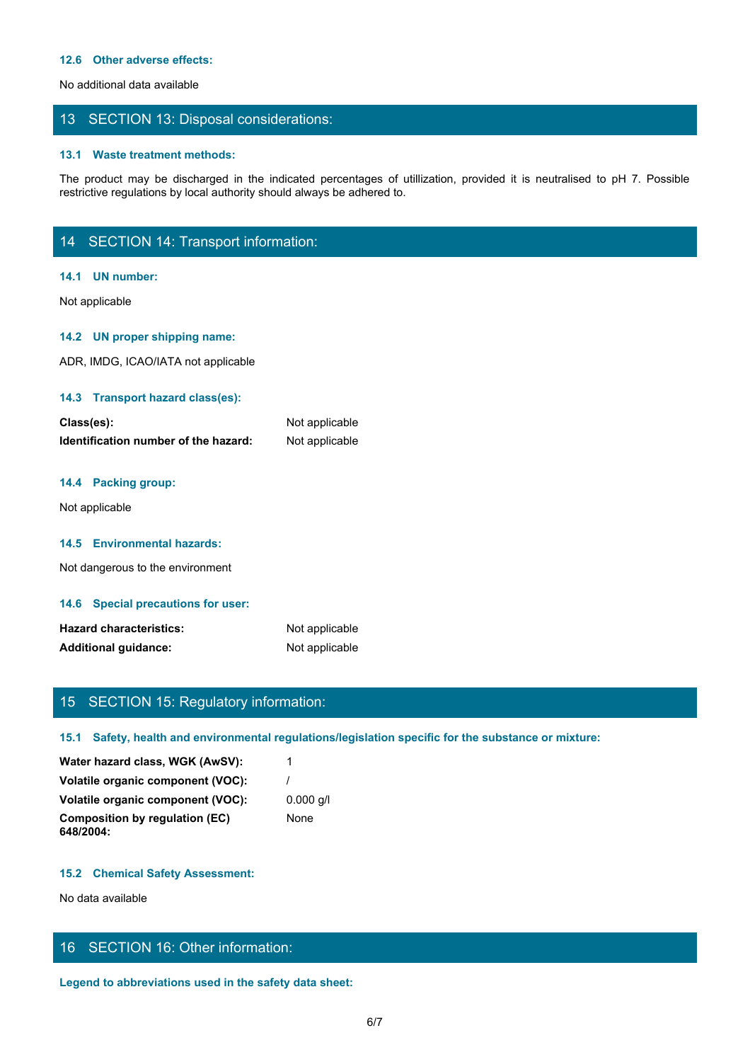#### **12.6 Other adverse effects:**

No additional data available

### 13 SECTION 13: Disposal considerations:

### **13.1 Waste treatment methods:**

The product may be discharged in the indicated percentages of utilization, provided it is neutralised to pH 7. Possible<br>The product may be discharged in the indicated percentages of utilization, provided it is neutralised restrictive regulations by local authority should always be adhered to.

# 14 SECTION 14: Transport information:

#### **14.1 UN number:**

Not applicable

### **14.2 UN proper shipping name:**

ADR, IMDG, ICAO/IATA not applicable

### **14.3 Transport hazard class(es):**

| Class(es):                           | Not applicable |
|--------------------------------------|----------------|
| Identification number of the hazard: | Not applicable |

### **14.4 Packing group:**

Not applicable

### **14.5 Environmental hazards:**

Not dangerous to the environment

#### **14.6 Special precautions for user:**

| <b>Hazard characteristics:</b> | Not applicable |
|--------------------------------|----------------|
| <b>Additional guidance:</b>    | Not applicable |

# 15 SECTION 15: Regulatory information:

### **15.1 Safety, health and environmental regulations/legislation specific for the substance or mixture:**

| Water hazard class, WGK (AwSV):             |             |
|---------------------------------------------|-------------|
| Volatile organic component (VOC):           |             |
| Volatile organic component (VOC):           | $0.000$ q/l |
| Composition by regulation (EC)<br>648/2004: | None        |

### **15.2 Chemical Safety Assessment:**

No data available

# 16 SECTION 16: Other information:

**Legend to abbreviations used in the safety data sheet:**